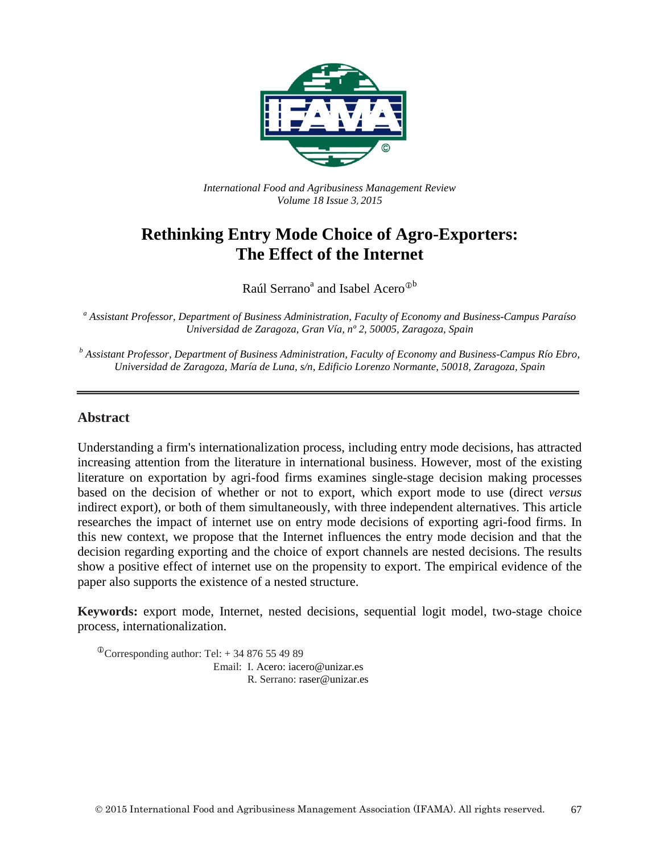

*International Food and Agribusiness Management Review Volume 18 Issue 3*, *2015*

# **Rethinking Entry Mode Choice of Agro-Exporters: The Effect of the Internet**

Raúl Serrano<sup>a</sup> and Isabel Acero<sup>®b</sup>

*<sup>a</sup> Assistant Professor, Department of Business Administration, Faculty of Economy and Business-Campus Paraíso Universidad de Zaragoza, Gran Vía, nº 2, 50005, Zaragoza, Spain*

*<sup>b</sup> Assistant Professor, Department of Business Administration, Faculty of Economy and Business-Campus Río Ebro, Universidad de Zaragoza, María de Luna, s/n, Edificio Lorenzo Normante, 50018, Zaragoza, Spain*

#### **Abstract**

Understanding a firm's internationalization process, including entry mode decisions, has attracted increasing attention from the literature in international business. However, most of the existing literature on exportation by agri-food firms examines single-stage decision making processes based on the decision of whether or not to export, which export mode to use (direct *versus* indirect export), or both of them simultaneously, with three independent alternatives. This article researches the impact of internet use on entry mode decisions of exporting agri-food firms. In this new context, we propose that the Internet influences the entry mode decision and that the decision regarding exporting and the choice of export channels are nested decisions. The results show a positive effect of internet use on the propensity to export. The empirical evidence of the paper also supports the existence of a nested structure.

**Keywords:** export mode, Internet, nested decisions, sequential logit model, two-stage choice process, internationalization.

 $^{\circ}$ Corresponding author: Tel: + 34 876 55 49 89 Email: I. Acero: iacero@unizar.es

R. Serrano: raser@unizar.es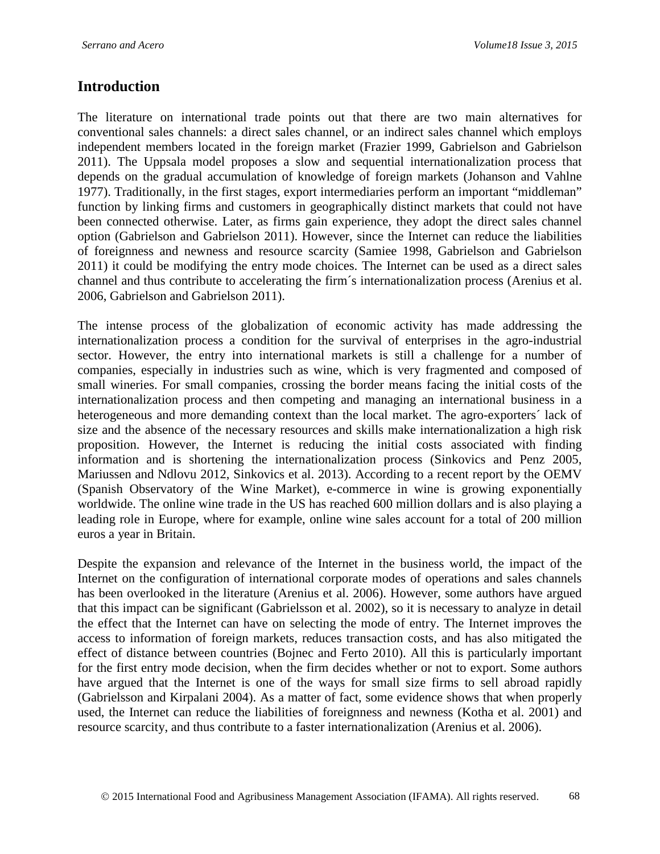## **Introduction**

The literature on international trade points out that there are two main alternatives for conventional sales channels: a direct sales channel, or an indirect sales channel which employs independent members located in the foreign market (Frazier 1999, Gabrielson and Gabrielson 2011). The Uppsala model proposes a slow and sequential internationalization process that depends on the gradual accumulation of knowledge of foreign markets (Johanson and Vahlne 1977). Traditionally, in the first stages, export intermediaries perform an important "middleman" function by linking firms and customers in geographically distinct markets that could not have been connected otherwise. Later, as firms gain experience, they adopt the direct sales channel option (Gabrielson and Gabrielson 2011). However, since the Internet can reduce the liabilities of foreignness and newness and resource scarcity (Samiee 1998, Gabrielson and Gabrielson 2011) it could be modifying the entry mode choices. The Internet can be used as a direct sales channel and thus contribute to accelerating the firm´s internationalization process (Arenius et al. 2006, Gabrielson and Gabrielson 2011).

The intense process of the globalization of economic activity has made addressing the internationalization process a condition for the survival of enterprises in the agro-industrial sector. However, the entry into international markets is still a challenge for a number of companies, especially in industries such as wine, which is very fragmented and composed of small wineries. For small companies, crossing the border means facing the initial costs of the internationalization process and then competing and managing an international business in a heterogeneous and more demanding context than the local market. The agro-exporters´ lack of size and the absence of the necessary resources and skills make internationalization a high risk proposition. However, the Internet is reducing the initial costs associated with finding information and is shortening the internationalization process (Sinkovics and Penz 2005, Mariussen and Ndlovu 2012, Sinkovics et al. 2013). According to a recent report by the OEMV (Spanish Observatory of the Wine Market), e-commerce in wine is growing exponentially worldwide. The online wine trade in the US has reached 600 million dollars and is also playing a leading role in Europe, where for example, online wine sales account for a total of 200 million euros a year in Britain.

Despite the expansion and relevance of the Internet in the business world, the impact of the Internet on the configuration of international corporate modes of operations and sales channels has been overlooked in the literature (Arenius et al. 2006). However, some authors have argued that this impact can be significant (Gabrielsson et al. 2002), so it is necessary to analyze in detail the effect that the Internet can have on selecting the mode of entry. The Internet improves the access to information of foreign markets, reduces transaction costs, and has also mitigated the effect of distance between countries (Bojnec and Ferto 2010). All this is particularly important for the first entry mode decision, when the firm decides whether or not to export. Some authors have argued that the Internet is one of the ways for small size firms to sell abroad rapidly (Gabrielsson and Kirpalani 2004). As a matter of fact, some evidence shows that when properly used, the Internet can reduce the liabilities of foreignness and newness (Kotha et al. 2001) and resource scarcity, and thus contribute to a faster internationalization (Arenius et al. 2006).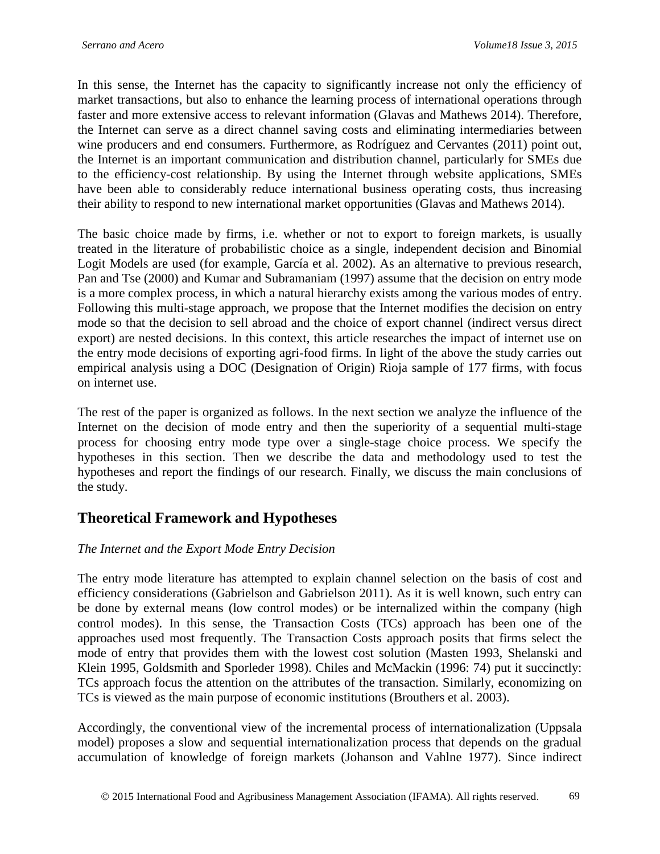In this sense, the Internet has the capacity to significantly increase not only the efficiency of market transactions, but also to enhance the learning process of international operations through faster and more extensive access to relevant information (Glavas and Mathews 2014). Therefore, the Internet can serve as a direct channel saving costs and eliminating intermediaries between wine producers and end consumers. Furthermore, as Rodríguez and Cervantes (2011) point out, the Internet is an important communication and distribution channel, particularly for SMEs due to the efficiency-cost relationship. By using the Internet through website applications, SMEs have been able to considerably reduce international business operating costs, thus increasing their ability to respond to new international market opportunities (Glavas and Mathews 2014).

The basic choice made by firms, i.e. whether or not to export to foreign markets, is usually treated in the literature of probabilistic choice as a single, independent decision and Binomial Logit Models are used (for example, García et al. 2002). As an alternative to previous research, Pan and Tse (2000) and Kumar and Subramaniam (1997) assume that the decision on entry mode is a more complex process, in which a natural hierarchy exists among the various modes of entry. Following this multi-stage approach, we propose that the Internet modifies the decision on entry mode so that the decision to sell abroad and the choice of export channel (indirect versus direct export) are nested decisions. In this context, this article researches the impact of internet use on the entry mode decisions of exporting agri-food firms. In light of the above the study carries out empirical analysis using a DOC (Designation of Origin) Rioja sample of 177 firms, with focus on internet use.

The rest of the paper is organized as follows. In the next section we analyze the influence of the Internet on the decision of mode entry and then the superiority of a sequential multi-stage process for choosing entry mode type over a single-stage choice process. We specify the hypotheses in this section. Then we describe the data and methodology used to test the hypotheses and report the findings of our research. Finally, we discuss the main conclusions of the study.

## **Theoretical Framework and Hypotheses**

#### *The Internet and the Export Mode Entry Decision*

The entry mode literature has attempted to explain channel selection on the basis of cost and efficiency considerations (Gabrielson and Gabrielson 2011). As it is well known, such entry can be done by external means (low control modes) or be internalized within the company (high control modes). In this sense, the Transaction Costs (TCs) approach has been one of the approaches used most frequently. The Transaction Costs approach posits that firms select the mode of entry that provides them with the lowest cost solution (Masten 1993, Shelanski and Klein 1995, Goldsmith and Sporleder 1998). Chiles and McMackin (1996: 74) put it succinctly: TCs approach focus the attention on the attributes of the transaction. Similarly, economizing on TCs is viewed as the main purpose of economic institutions (Brouthers et al. 2003).

Accordingly, the conventional view of the incremental process of internationalization (Uppsala model) proposes a slow and sequential internationalization process that depends on the gradual accumulation of knowledge of foreign markets (Johanson and Vahlne 1977). Since indirect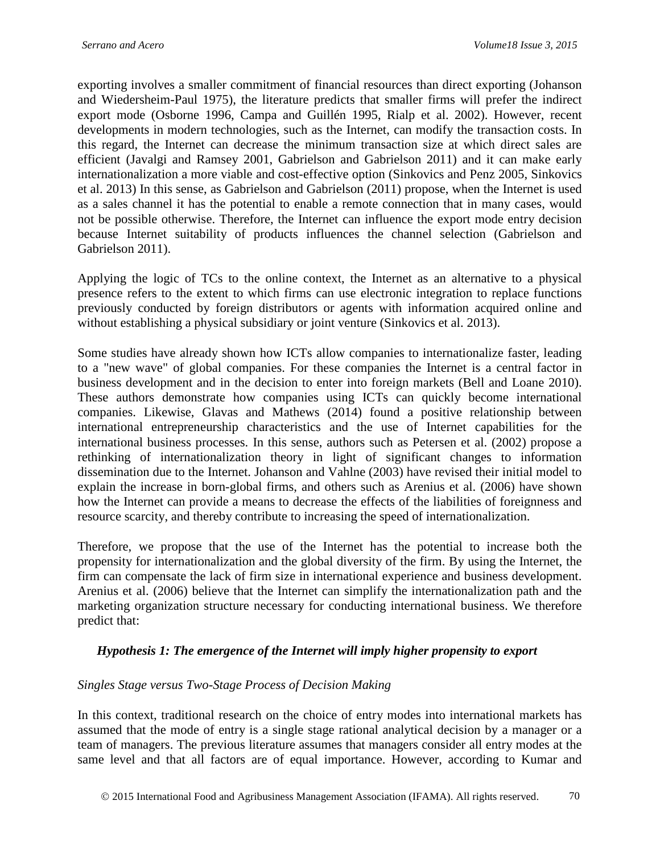exporting involves a smaller commitment of financial resources than direct exporting (Johanson and Wiedersheim-Paul 1975), the literature predicts that smaller firms will prefer the indirect export mode (Osborne 1996, Campa and Guillén 1995, Rialp et al. 2002). However, recent developments in modern technologies, such as the Internet, can modify the transaction costs. In this regard, the Internet can decrease the minimum transaction size at which direct sales are efficient (Javalgi and Ramsey 2001, Gabrielson and Gabrielson 2011) and it can make early internationalization a more viable and cost-effective option (Sinkovics and Penz 2005, Sinkovics et al. 2013) In this sense, as Gabrielson and Gabrielson (2011) propose, when the Internet is used as a sales channel it has the potential to enable a remote connection that in many cases, would not be possible otherwise. Therefore, the Internet can influence the export mode entry decision because Internet suitability of products influences the channel selection (Gabrielson and Gabrielson 2011).

Applying the logic of TCs to the online context, the Internet as an alternative to a physical presence refers to the extent to which firms can use electronic integration to replace functions previously conducted by foreign distributors or agents with information acquired online and without establishing a physical subsidiary or joint venture (Sinkovics et al. 2013).

Some studies have already shown how ICTs allow companies to internationalize faster, leading to a "new wave" of global companies. For these companies the Internet is a central factor in business development and in the decision to enter into foreign markets (Bell and Loane 2010). These authors demonstrate how companies using ICTs can quickly become international companies. Likewise, Glavas and Mathews (2014) found a positive relationship between international entrepreneurship characteristics and the use of Internet capabilities for the international business processes. In this sense, authors such as Petersen et al. (2002) propose a rethinking of internationalization theory in light of significant changes to information dissemination due to the Internet. Johanson and Vahlne (2003) have revised their initial model to explain the increase in born-global firms, and others such as Arenius et al. (2006) have shown how the Internet can provide a means to decrease the effects of the liabilities of foreignness and resource scarcity, and thereby contribute to increasing the speed of internationalization.

Therefore, we propose that the use of the Internet has the potential to increase both the propensity for internationalization and the global diversity of the firm. By using the Internet, the firm can compensate the lack of firm size in international experience and business development. Arenius et al. (2006) believe that the Internet can simplify the internationalization path and the marketing organization structure necessary for conducting international business. We therefore predict that:

#### *Hypothesis 1: The emergence of the Internet will imply higher propensity to export*

#### *Singles Stage versus Two-Stage Process of Decision Making*

In this context, traditional research on the choice of entry modes into international markets has assumed that the mode of entry is a single stage rational analytical decision by a manager or a team of managers. The previous literature assumes that managers consider all entry modes at the same level and that all factors are of equal importance. However, according to Kumar and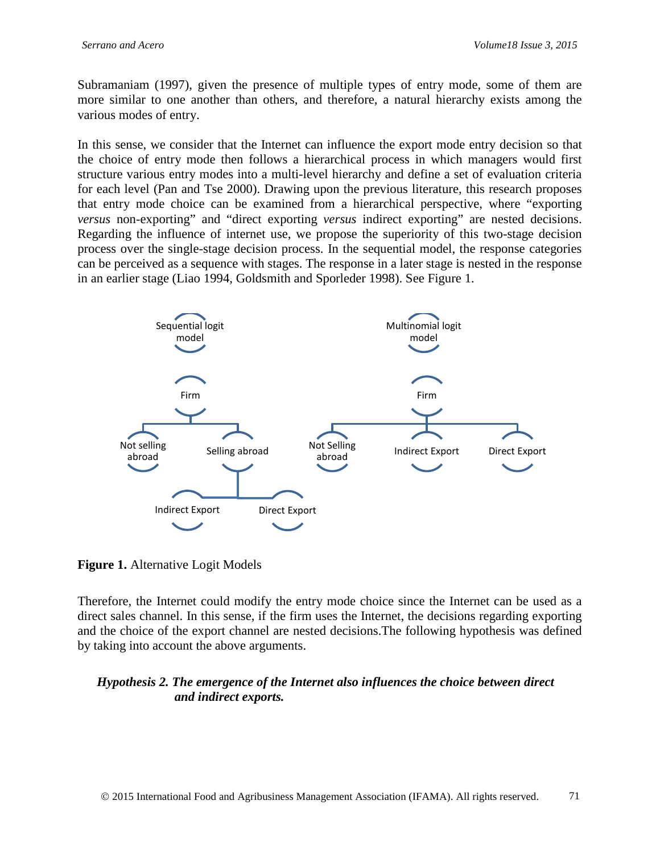Subramaniam (1997), given the presence of multiple types of entry mode, some of them are more similar to one another than others, and therefore, a natural hierarchy exists among the various modes of entry.

In this sense, we consider that the Internet can influence the export mode entry decision so that the choice of entry mode then follows a hierarchical process in which managers would first structure various entry modes into a multi-level hierarchy and define a set of evaluation criteria for each level (Pan and Tse 2000). Drawing upon the previous literature, this research proposes that entry mode choice can be examined from a hierarchical perspective, where "exporting *versus* non-exporting" and "direct exporting *versus* indirect exporting" are nested decisions. Regarding the influence of internet use, we propose the superiority of this two-stage decision process over the single-stage decision process. In the sequential model, the response categories can be perceived as a sequence with stages. The response in a later stage is nested in the response in an earlier stage (Liao 1994, Goldsmith and Sporleder 1998). See Figure 1.



**Figure 1.** Alternative Logit Models

Therefore, the Internet could modify the entry mode choice since the Internet can be used as a direct sales channel. In this sense, if the firm uses the Internet, the decisions regarding exporting and the choice of the export channel are nested decisions.The following hypothesis was defined by taking into account the above arguments.

## *Hypothesis 2. The emergence of the Internet also influences the choice between direct and indirect exports.*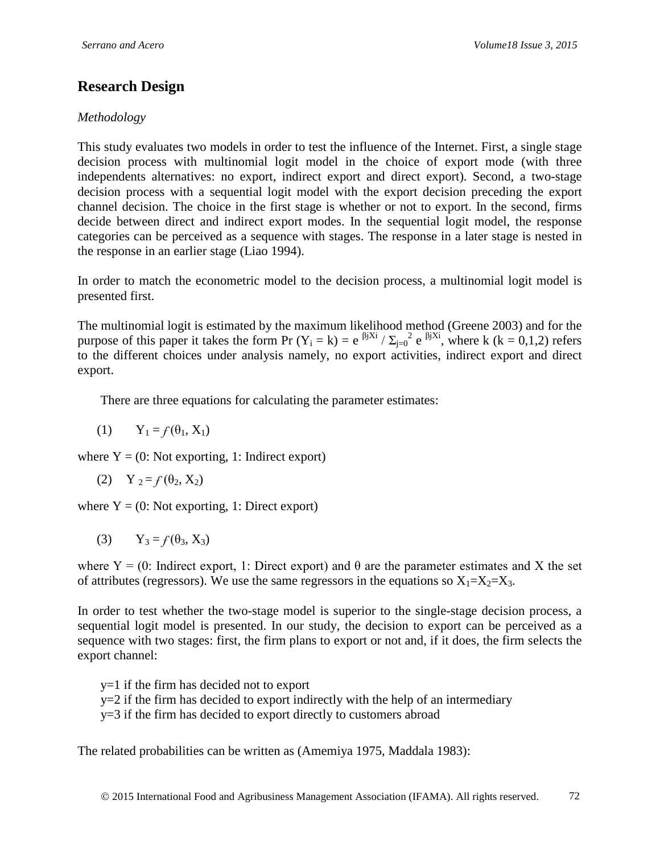# **Research Design**

## *Methodology*

This study evaluates two models in order to test the influence of the Internet. First, a single stage decision process with multinomial logit model in the choice of export mode (with three independents alternatives: no export, indirect export and direct export). Second, a two-stage decision process with a sequential logit model with the export decision preceding the export channel decision. The choice in the first stage is whether or not to export. In the second, firms decide between direct and indirect export modes. In the sequential logit model, the response categories can be perceived as a sequence with stages. The response in a later stage is nested in the response in an earlier stage (Liao 1994).

In order to match the econometric model to the decision process, a multinomial logit model is presented first.

The multinomial logit is estimated by the maximum likelihood method (Greene 2003) and for the purpose of this paper it takes the form Pr  $(Y_i = k) = e^{-\beta j X i} / \sum_{j=0}^{\infty} e^{-\beta j X i}$ , where k (k = 0,1,2) refers to the different choices under analysis namely, no export activities, indirect export and direct export.

There are three equations for calculating the parameter estimates:

(1)  $Y_1 = f(\theta_1, X_1)$ 

where  $Y = (0: Not exporting, 1: Indirect export)$ 

(2)  $Y_2 = f(\theta_2, X_2)$ 

where  $Y = (0: Not exporting, 1: Direct export)$ 

$$
(3) \qquad Y_3 = f(\theta_3, X_3)
$$

where  $Y = (0: \text{Indirect export}, 1: \text{Direct export})$  and  $\theta$  are the parameter estimates and X the set of attributes (regressors). We use the same regressors in the equations so  $X_1 = X_2 = X_3$ .

In order to test whether the two-stage model is superior to the single-stage decision process, a sequential logit model is presented. In our study, the decision to export can be perceived as a sequence with two stages: first, the firm plans to export or not and, if it does, the firm selects the export channel:

y=1 if the firm has decided not to export

 $y=2$  if the firm has decided to export indirectly with the help of an intermediary

y=3 if the firm has decided to export directly to customers abroad

The related probabilities can be written as (Amemiya 1975, Maddala 1983):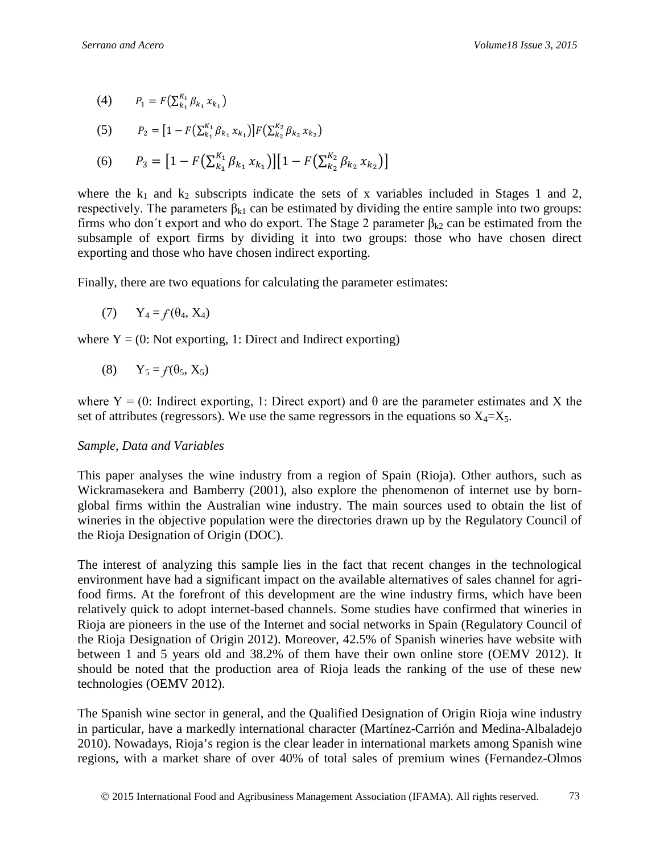(4)  $P_1 = F\left(\sum_{k_1}^{K_1} \beta_{k_1} x_{k_1}\right)$ 

(5) 
$$
P_2 = [1 - F(\sum_{k_1}^{K_1} \beta_{k_1} x_{k_1})] F(\sum_{k_2}^{K_2} \beta_{k_2} x_{k_2})
$$

(6) 
$$
P_3 = [1 - F(\sum_{k_1}^{K_1} \beta_{k_1} x_{k_1})][1 - F(\sum_{k_2}^{K_2} \beta_{k_2} x_{k_2})]
$$

where the  $k_1$  and  $k_2$  subscripts indicate the sets of x variables included in Stages 1 and 2, respectively. The parameters  $\beta_{k1}$  can be estimated by dividing the entire sample into two groups: firms who don't export and who do export. The Stage 2 parameter  $\beta_{k2}$  can be estimated from the subsample of export firms by dividing it into two groups: those who have chosen direct exporting and those who have chosen indirect exporting.

Finally, there are two equations for calculating the parameter estimates:

$$
(7) \qquad Y_4 = f(\theta_4, X_4)
$$

where  $Y = (0: Not exporting, 1: Direct and Indirect exporting)$ 

$$
(8) \tY_5 = f(\theta_5, X_5)
$$

where  $Y = (0: \text{Indirect exporting}, 1: \text{Direct export})$  and  $\theta$  are the parameter estimates and X the set of attributes (regressors). We use the same regressors in the equations so  $X_4 = X_5$ .

#### *Sample, Data and Variables*

This paper analyses the wine industry from a region of Spain (Rioja). Other authors, such as Wickramasekera and Bamberry (2001), also explore the phenomenon of internet use by bornglobal firms within the Australian wine industry. The main sources used to obtain the list of wineries in the objective population were the directories drawn up by the Regulatory Council of the Rioja Designation of Origin (DOC).

The interest of analyzing this sample lies in the fact that recent changes in the technological environment have had a significant impact on the available alternatives of sales channel for agrifood firms. At the forefront of this development are the wine industry firms, which have been relatively quick to adopt internet-based channels. Some studies have confirmed that wineries in Rioja are pioneers in the use of the Internet and social networks in Spain (Regulatory Council of the Rioja Designation of Origin 2012). Moreover, 42.5% of Spanish wineries have website with between 1 and 5 years old and 38.2% of them have their own online store (OEMV 2012). It should be noted that the production area of Rioja leads the ranking of the use of these new technologies (OEMV 2012).

The Spanish wine sector in general, and the Qualified Designation of Origin Rioja wine industry in particular, have a markedly international character (Martínez-Carrión and Medina-Albaladejo 2010). Nowadays, Rioja's region is the clear leader in international markets among Spanish wine regions, with a market share of over 40% of total sales of premium wines (Fernandez-Olmos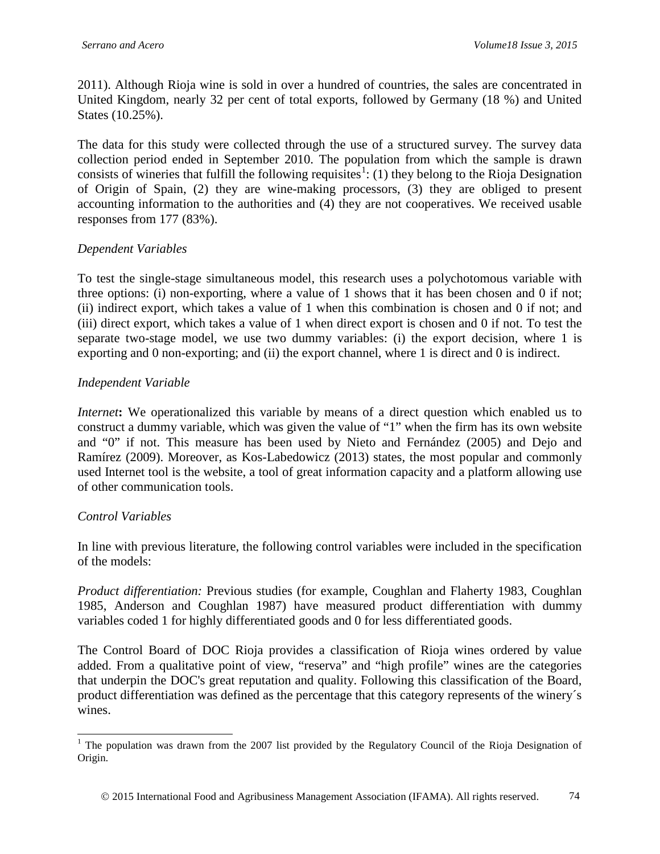2011). Although Rioja wine is sold in over a hundred of countries, the sales are concentrated in United Kingdom, nearly 32 per cent of total exports, followed by Germany (18 %) and United States (10.25%).

The data for this study were collected through the use of a structured survey. The survey data collection period ended in September 2010. The population from which the sample is drawn consists of wineries that fulfill the following requisites<sup>[1](#page-7-0)</sup>: (1) they belong to the Rioja Designation of Origin of Spain, (2) they are wine-making processors, (3) they are obliged to present accounting information to the authorities and (4) they are not cooperatives. We received usable responses from 177 (83%).

## *Dependent Variables*

To test the single-stage simultaneous model, this research uses a polychotomous variable with three options: (i) non-exporting, where a value of 1 shows that it has been chosen and 0 if not; (ii) indirect export, which takes a value of 1 when this combination is chosen and 0 if not; and (iii) direct export, which takes a value of 1 when direct export is chosen and 0 if not. To test the separate two-stage model, we use two dummy variables: (i) the export decision, where 1 is exporting and 0 non-exporting; and (ii) the export channel, where 1 is direct and 0 is indirect.

## *Independent Variable*

*Internet***:** We operationalized this variable by means of a direct question which enabled us to construct a dummy variable, which was given the value of "1" when the firm has its own website and "0" if not. This measure has been used by Nieto and Fernández (2005) and Dejo and Ramírez (2009). Moreover, as Kos-Labedowicz (2013) states, the most popular and commonly used Internet tool is the website, a tool of great information capacity and a platform allowing use of other communication tools.

#### *Control Variables*

In line with previous literature, the following control variables were included in the specification of the models:

*Product differentiation:* Previous studies (for example, Coughlan and Flaherty 1983, Coughlan 1985, Anderson and Coughlan 1987) have measured product differentiation with dummy variables coded 1 for highly differentiated goods and 0 for less differentiated goods.

The Control Board of DOC Rioja provides a classification of Rioja wines ordered by value added. From a qualitative point of view, "reserva" and "high profile" wines are the categories that underpin the DOC's great reputation and quality. Following this classification of the Board, product differentiation was defined as the percentage that this category represents of the winery´s wines.

<span id="page-7-0"></span><sup>&</sup>lt;sup>1</sup> The population was drawn from the 2007 list provided by the Regulatory Council of the Rioja Designation of Origin.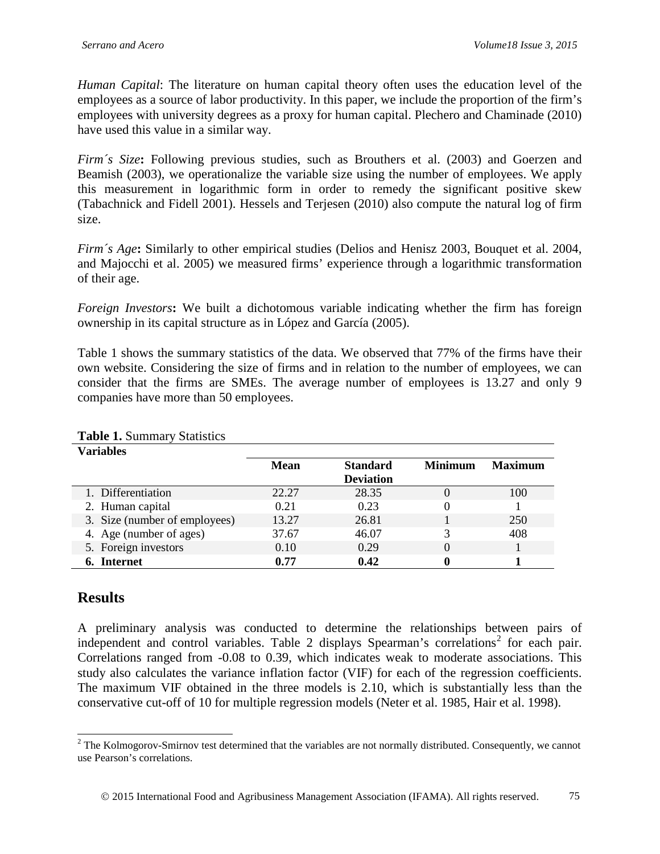*Human Capital*: The literature on human capital theory often uses the education level of the employees as a source of labor productivity. In this paper, we include the proportion of the firm's employees with university degrees as a proxy for human capital. Plechero and Chaminade (2010) have used this value in a similar way.

*Firm´s Size***:** Following previous studies, such as Brouthers et al. (2003) and Goerzen and Beamish (2003), we operationalize the variable size using the number of employees. We apply this measurement in logarithmic form in order to remedy the significant positive skew (Tabachnick and Fidell 2001). Hessels and Terjesen (2010) also compute the natural log of firm size.

*Firm´s Age***:** Similarly to other empirical studies (Delios and Henisz 2003, Bouquet et al. 2004, and Majocchi et al. 2005) we measured firms' experience through a logarithmic transformation of their age.

*Foreign Investors***:** We built a dichotomous variable indicating whether the firm has foreign ownership in its capital structure as in López and García (2005).

Table 1 shows the summary statistics of the data. We observed that 77% of the firms have their own website. Considering the size of firms and in relation to the number of employees, we can consider that the firms are SMEs. The average number of employees is 13.27 and only 9 companies have more than 50 employees.

| Variables                     |             |                  |                |                |
|-------------------------------|-------------|------------------|----------------|----------------|
|                               | <b>Mean</b> | <b>Standard</b>  | <b>Minimum</b> | <b>Maximum</b> |
|                               |             | <b>Deviation</b> |                |                |
| 1. Differentiation            | 22.27       | 28.35            | 0              | 100            |
| 2. Human capital              | 0.21        | 0.23             | 0              |                |
| 3. Size (number of employees) | 13.27       | 26.81            |                | 250            |
| 4. Age (number of ages)       | 37.67       | 46.07            | 3              | 408            |
| 5. Foreign investors          | 0.10        | 0.29             |                |                |
| Internet                      | 0.77        | 0.42             |                |                |

**Table 1.** Summary Statistics

## **Results**

A preliminary analysis was conducted to determine the relationships between pairs of independent and control variables. Table [2](#page-8-0) displays Spearman's correlations<sup>2</sup> for each pair. Correlations ranged from -0.08 to 0.39, which indicates weak to moderate associations. This study also calculates the variance inflation factor (VIF) for each of the regression coefficients. The maximum VIF obtained in the three models is 2.10, which is substantially less than the conservative cut-off of 10 for multiple regression models (Neter et al. 1985, Hair et al. 1998).

<span id="page-8-0"></span> $2$  The Kolmogorov-Smirnov test determined that the variables are not normally distributed. Consequently, we cannot use Pearson's correlations.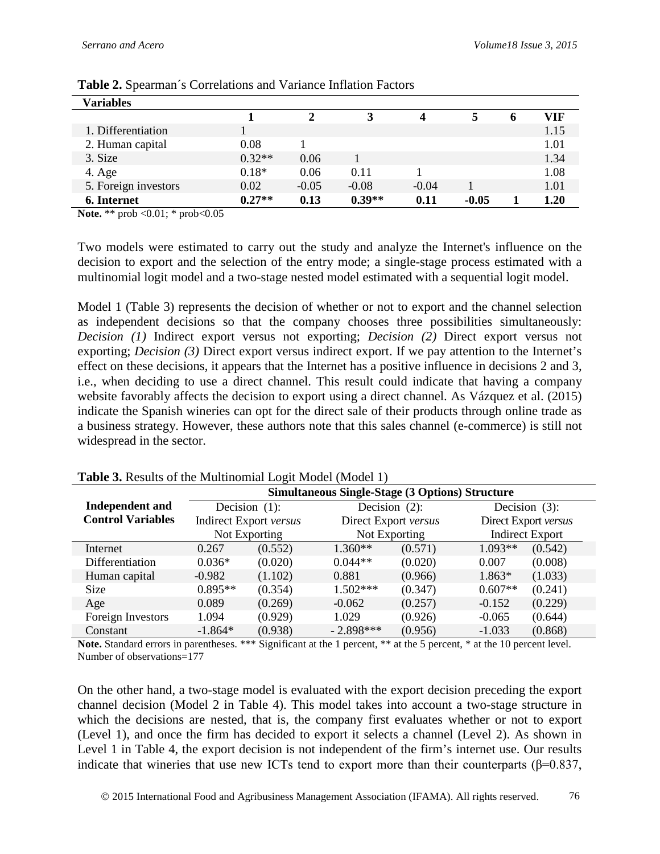| Variables            |          |         |          |         |         |   |      |
|----------------------|----------|---------|----------|---------|---------|---|------|
|                      |          |         |          | Δ       |         | o | VIF  |
| 1. Differentiation   |          |         |          |         |         |   | 1.15 |
| 2. Human capital     | 0.08     |         |          |         |         |   | 1.01 |
| 3. Size              | $0.32**$ | 0.06    |          |         |         |   | 1.34 |
| 4. Age               | $0.18*$  | 0.06    | 0.11     |         |         |   | 1.08 |
| 5. Foreign investors | 0.02     | $-0.05$ | $-0.08$  | $-0.04$ |         |   | 1.01 |
| 6. Internet          | $0.27**$ | 0.13    | $0.39**$ | 0.11    | $-0.05$ |   | 1.20 |

**Table 2.** Spearman´s Correlations and Variance Inflation Factors

**Note.** \*\* prob < 0.01; \* prob < 0.05

Two models were estimated to carry out the study and analyze the Internet's influence on the decision to export and the selection of the entry mode; a single-stage process estimated with a multinomial logit model and a two-stage nested model estimated with a sequential logit model.

Model 1 (Table 3) represents the decision of whether or not to export and the channel selection as independent decisions so that the company chooses three possibilities simultaneously: *Decision (1)* Indirect export versus not exporting; *Decision (2)* Direct export versus not exporting; *Decision (3)* Direct export versus indirect export. If we pay attention to the Internet's effect on these decisions, it appears that the Internet has a positive influence in decisions 2 and 3, i.e., when deciding to use a direct channel. This result could indicate that having a company website favorably affects the decision to export using a direct channel. As Vázquez et al. (2015) indicate the Spanish wineries can opt for the direct sale of their products through online trade as a business strategy. However, these authors note that this sales channel (e-commerce) is still not widespread in the sector.

|                          | <b>Simultaneous Single-Stage (3 Options) Structure</b> |                        |                      |                  |                        |                  |  |
|--------------------------|--------------------------------------------------------|------------------------|----------------------|------------------|------------------------|------------------|--|
| <b>Independent and</b>   | Decision $(1)$ :                                       |                        |                      | Decision $(2)$ : |                        | Decision $(3)$ : |  |
| <b>Control Variables</b> |                                                        | Indirect Export versus | Direct Export versus |                  | Direct Export versus   |                  |  |
|                          |                                                        | Not Exporting          | Not Exporting        |                  | <b>Indirect Export</b> |                  |  |
| Internet                 | 0.267                                                  | (0.552)                | $1.360**$            | (0.571)          | $1.093**$              | (0.542)          |  |
| Differentiation          | $0.036*$                                               | (0.020)                | $0.044**$            | (0.020)          | 0.007                  | (0.008)          |  |
| Human capital            | $-0.982$                                               | (1.102)                | 0.881                | (0.966)          | 1.863*                 | (1.033)          |  |
| <b>Size</b>              | $0.895**$                                              | (0.354)                | $1.502***$           | (0.347)          | $0.607**$              | (0.241)          |  |
| Age                      | 0.089                                                  | (0.269)                | $-0.062$             | (0.257)          | $-0.152$               | (0.229)          |  |
| Foreign Investors        | 1.094                                                  | (0.929)                | 1.029                | (0.926)          | $-0.065$               | (0.644)          |  |
| Constant                 | $-1.864*$                                              | (0.938)                | $-2.898***$          | (0.956)          | $-1.033$               | (0.868)          |  |

#### **Table 3.** Results of the Multinomial Logit Model (Model 1)

Note. Standard errors in parentheses. \*\*\* Significant at the 1 percent, \*\* at the 5 percent, \* at the 10 percent level. Number of observations=177

On the other hand, a two-stage model is evaluated with the export decision preceding the export channel decision (Model 2 in Table 4). This model takes into account a two-stage structure in which the decisions are nested, that is, the company first evaluates whether or not to export (Level 1), and once the firm has decided to export it selects a channel (Level 2). As shown in Level 1 in Table 4, the export decision is not independent of the firm's internet use. Our results indicate that wineries that use new ICTs tend to export more than their counterparts ( $\beta$ =0.837,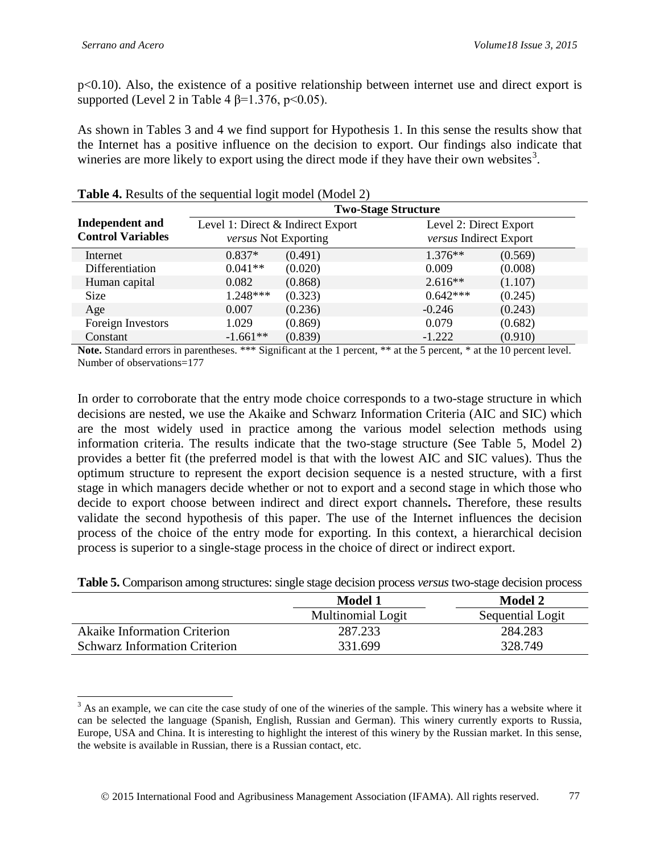p<0.10). Also, the existence of a positive relationship between internet use and direct export is supported (Level 2 in Table 4  $\beta$ =1.376, p<0.05).

As shown in Tables 3 and 4 we find support for Hypothesis 1. In this sense the results show that the Internet has a positive influence on the decision to export. Our findings also indicate that wineries are more likely to export using the direct mode if they have their own websites<sup>[3](#page-10-0)</sup>.

|                          | <b>Two-Stage Structure</b>                                |         |                        |                        |  |  |
|--------------------------|-----------------------------------------------------------|---------|------------------------|------------------------|--|--|
| <b>Independent and</b>   | Level 1: Direct & Indirect Export<br>versus Not Exporting |         |                        | Level 2: Direct Export |  |  |
| <b>Control Variables</b> |                                                           |         | versus Indirect Export |                        |  |  |
| Internet                 | $0.837*$                                                  | (0.491) | $1.376**$              | (0.569)                |  |  |
| Differentiation          | $0.041**$                                                 | (0.020) | 0.009                  | (0.008)                |  |  |
| Human capital            | 0.082                                                     | (0.868) | $2.616**$              | (1.107)                |  |  |
| <b>Size</b>              | $1.248***$                                                | (0.323) | $0.642***$             | (0.245)                |  |  |
| Age                      | 0.007                                                     | (0.236) | $-0.246$               | (0.243)                |  |  |
| Foreign Investors        | 1.029                                                     | (0.869) | 0.079                  | (0.682)                |  |  |
| Constant                 | $-1.661**$                                                | (0.839) | $-1.222$               | (0.910)                |  |  |

**Table 4.** Results of the sequential logit model (Model 2)

Note. Standard errors in parentheses. \*\*\* Significant at the 1 percent, \*\* at the 5 percent, \* at the 10 percent level. Number of observations=177

In order to corroborate that the entry mode choice corresponds to a two-stage structure in which decisions are nested, we use the Akaike and Schwarz Information Criteria (AIC and SIC) which are the most widely used in practice among the various model selection methods using information criteria. The results indicate that the two-stage structure (See Table 5, Model 2) provides a better fit (the preferred model is that with the lowest AIC and SIC values). Thus the optimum structure to represent the export decision sequence is a nested structure, with a first stage in which managers decide whether or not to export and a second stage in which those who decide to export choose between indirect and direct export channels**.** Therefore, these results validate the second hypothesis of this paper. The use of the Internet influences the decision process of the choice of the entry mode for exporting. In this context, a hierarchical decision process is superior to a single-stage process in the choice of direct or indirect export.

| <b>Tuble of Companison among structures, single stage accision</b> process versits two stage decision process |                          |                  |  |  |  |
|---------------------------------------------------------------------------------------------------------------|--------------------------|------------------|--|--|--|
|                                                                                                               | <b>Model 1</b>           | <b>Model 2</b>   |  |  |  |
|                                                                                                               | <b>Multinomial Logit</b> | Sequential Logit |  |  |  |
| <b>Akaike Information Criterion</b>                                                                           | 287.233                  | 284.283          |  |  |  |
| <b>Schwarz Information Criterion</b>                                                                          | 331.699                  | 328.749          |  |  |  |

**Table 5.** Comparison among structures: single stage decision process *versus* two-stage decision process

<span id="page-10-0"></span> $3$  As an example, we can cite the case study of one of the wineries of the sample. This winery has a website where it can be selected the language (Spanish, English, Russian and German). This winery currently exports to Russia, Europe, USA and China. It is interesting to highlight the interest of this winery by the Russian market. In this sense, the website is available in Russian, there is a Russian contact, etc.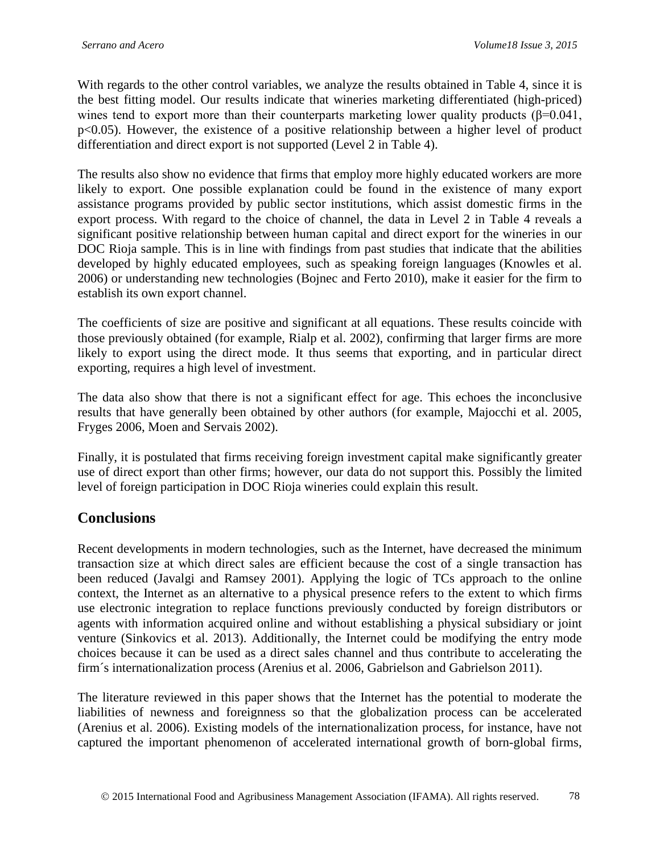With regards to the other control variables, we analyze the results obtained in Table 4, since it is the best fitting model. Our results indicate that wineries marketing differentiated (high-priced) wines tend to export more than their counterparts marketing lower quality products ( $\beta$ =0.041, p<0.05). However, the existence of a positive relationship between a higher level of product differentiation and direct export is not supported (Level 2 in Table 4).

The results also show no evidence that firms that employ more highly educated workers are more likely to export. One possible explanation could be found in the existence of many export assistance programs provided by public sector institutions, which assist domestic firms in the export process. With regard to the choice of channel, the data in Level 2 in Table 4 reveals a significant positive relationship between human capital and direct export for the wineries in our DOC Rioja sample. This is in line with findings from past studies that indicate that the abilities developed by highly educated employees, such as speaking foreign languages (Knowles et al. 2006) or understanding new technologies (Bojnec and Ferto 2010), make it easier for the firm to establish its own export channel.

The coefficients of size are positive and significant at all equations. These results coincide with those previously obtained (for example, Rialp et al. 2002), confirming that larger firms are more likely to export using the direct mode. It thus seems that exporting, and in particular direct exporting, requires a high level of investment.

The data also show that there is not a significant effect for age. This echoes the inconclusive results that have generally been obtained by other authors (for example, Majocchi et al. 2005, Fryges 2006, Moen and Servais 2002).

Finally, it is postulated that firms receiving foreign investment capital make significantly greater use of direct export than other firms; however, our data do not support this. Possibly the limited level of foreign participation in DOC Rioja wineries could explain this result.

## **Conclusions**

Recent developments in modern technologies, such as the Internet, have decreased the minimum transaction size at which direct sales are efficient because the cost of a single transaction has been reduced (Javalgi and Ramsey 2001). Applying the logic of TCs approach to the online context, the Internet as an alternative to a physical presence refers to the extent to which firms use electronic integration to replace functions previously conducted by foreign distributors or agents with information acquired online and without establishing a physical subsidiary or joint venture (Sinkovics et al. 2013). Additionally, the Internet could be modifying the entry mode choices because it can be used as a direct sales channel and thus contribute to accelerating the firm´s internationalization process (Arenius et al. 2006, Gabrielson and Gabrielson 2011).

The literature reviewed in this paper shows that the Internet has the potential to moderate the liabilities of newness and foreignness so that the globalization process can be accelerated (Arenius et al. 2006). Existing models of the internationalization process, for instance, have not captured the important phenomenon of accelerated international growth of born-global firms,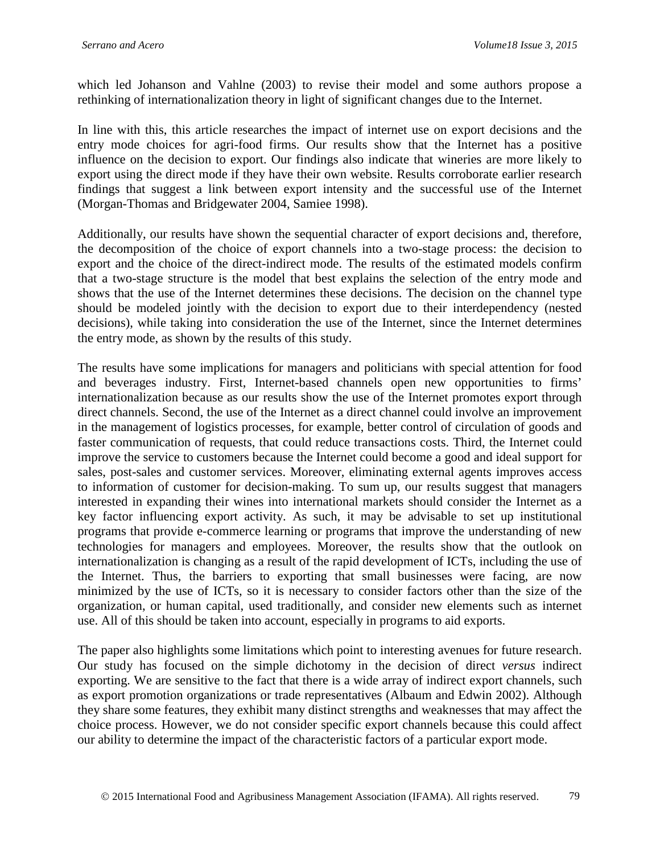which led Johanson and Vahlne (2003) to revise their model and some authors propose a rethinking of internationalization theory in light of significant changes due to the Internet.

In line with this, this article researches the impact of internet use on export decisions and the entry mode choices for agri-food firms. Our results show that the Internet has a positive influence on the decision to export. Our findings also indicate that wineries are more likely to export using the direct mode if they have their own website. Results corroborate earlier research findings that suggest a link between export intensity and the successful use of the Internet (Morgan-Thomas and Bridgewater 2004, Samiee 1998).

Additionally, our results have shown the sequential character of export decisions and, therefore, the decomposition of the choice of export channels into a two-stage process: the decision to export and the choice of the direct-indirect mode. The results of the estimated models confirm that a two-stage structure is the model that best explains the selection of the entry mode and shows that the use of the Internet determines these decisions. The decision on the channel type should be modeled jointly with the decision to export due to their interdependency (nested decisions), while taking into consideration the use of the Internet, since the Internet determines the entry mode, as shown by the results of this study.

The results have some implications for managers and politicians with special attention for food and beverages industry. First, Internet-based channels open new opportunities to firms' internationalization because as our results show the use of the Internet promotes export through direct channels. Second, the use of the Internet as a direct channel could involve an improvement in the management of logistics processes, for example, better control of circulation of goods and faster communication of requests, that could reduce transactions costs. Third, the Internet could improve the service to customers because the Internet could become a good and ideal support for sales, post-sales and customer services. Moreover, eliminating external agents improves access to information of customer for decision-making. To sum up, our results suggest that managers interested in expanding their wines into international markets should consider the Internet as a key factor influencing export activity. As such, it may be advisable to set up institutional programs that provide e-commerce learning or programs that improve the understanding of new technologies for managers and employees. Moreover, the results show that the outlook on internationalization is changing as a result of the rapid development of ICTs, including the use of the Internet. Thus, the barriers to exporting that small businesses were facing, are now minimized by the use of ICTs, so it is necessary to consider factors other than the size of the organization, or human capital, used traditionally, and consider new elements such as internet use. All of this should be taken into account, especially in programs to aid exports.

The paper also highlights some limitations which point to interesting avenues for future research. Our study has focused on the simple dichotomy in the decision of direct *versus* indirect exporting. We are sensitive to the fact that there is a wide array of indirect export channels, such as export promotion organizations or trade representatives (Albaum and Edwin 2002). Although they share some features, they exhibit many distinct strengths and weaknesses that may affect the choice process. However, we do not consider specific export channels because this could affect our ability to determine the impact of the characteristic factors of a particular export mode.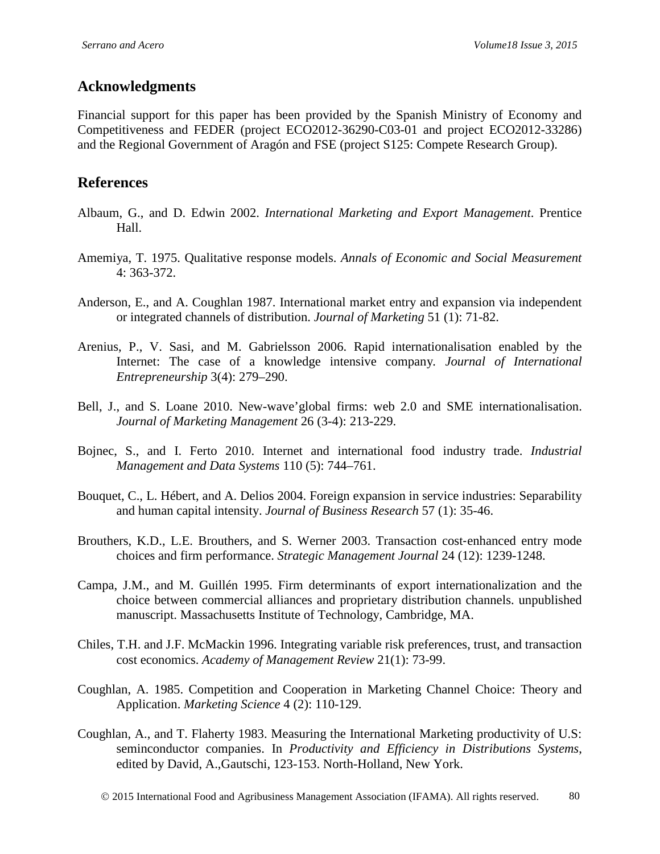## **Acknowledgments**

Financial support for this paper has been provided by the Spanish Ministry of Economy and Competitiveness and FEDER (project ECO2012-36290-C03-01 and project ECO2012-33286) and the Regional Government of Aragón and FSE (project S125: Compete Research Group).

# **References**

- Albaum, G., and D. Edwin 2002. *International Marketing and Export Management*. Prentice Hall.
- Amemiya, T. 1975. Qualitative response models. *Annals of Economic and Social Measurement* 4: 363-372.
- Anderson, E., and A. Coughlan 1987. International market entry and expansion via independent or integrated channels of distribution. *Journal of Marketing* 51 (1): 71-82.
- Arenius, P., V. Sasi, and M. Gabrielsson 2006. Rapid internationalisation enabled by the Internet: The case of a knowledge intensive company*. Journal of International Entrepreneurship* 3(4): 279–290.
- Bell, J., and S. Loane 2010. New-wave'global firms: web 2.0 and SME internationalisation. *Journal of Marketing Management* 26 (3-4): 213-229.
- Bojnec, S., and I. Ferto 2010. Internet and international food industry trade. *Industrial Management and Data Systems* 110 (5): 744–761.
- Bouquet, C., L. Hébert, and A. Delios 2004. Foreign expansion in service industries: Separability and human capital intensity. *Journal of Business Research* 57 (1): 35-46.
- Brouthers, K.D., L.E. Brouthers, and S. Werner 2003. Transaction cost-enhanced entry mode choices and firm performance. *Strategic Management Journal* 24 (12): 1239-1248.
- Campa, J.M., and M. Guillén 1995. Firm determinants of export internationalization and the choice between commercial alliances and proprietary distribution channels. unpublished manuscript. Massachusetts Institute of Technology, Cambridge, MA.
- Chiles, T.H. and J.F. McMackin 1996. Integrating variable risk preferences, trust, and transaction cost economics. *Academy of Management Review* 21(1): 73-99.
- Coughlan, A. 1985. Competition and Cooperation in Marketing Channel Choice: Theory and Application. *Marketing Science* 4 (2): 110-129.
- Coughlan, A., and T. Flaherty 1983. Measuring the International Marketing productivity of U.S: seminconductor companies. In *Productivity and Efficiency in Distributions Systems*, edited by David, A.,Gautschi, 123-153. North-Holland, New York.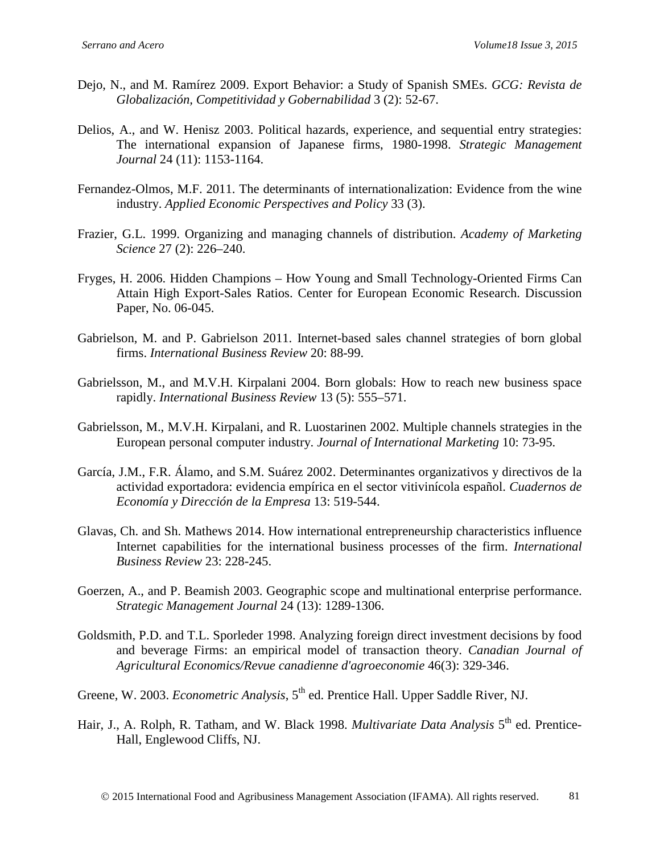- Dejo, N., and M. Ramírez 2009. Export Behavior: a Study of Spanish SMEs. *GCG: Revista de Globalización, Competitividad y Gobernabilidad* 3 (2): 52-67.
- Delios, A., and W. Henisz 2003. Political hazards, experience, and sequential entry strategies: The international expansion of Japanese firms, 1980-1998. *Strategic Management Journal* 24 (11): 1153-1164.
- Fernandez-Olmos, M.F. 2011. The determinants of internationalization: Evidence from the wine industry. *Applied Economic Perspectives and Policy* 33 (3).
- Frazier, G.L. 1999. Organizing and managing channels of distribution. *Academy of Marketing Science* 27 (2): 226–240.
- Fryges, H. 2006. Hidden Champions How Young and Small Technology-Oriented Firms Can Attain High Export-Sales Ratios. Center for European Economic Research. Discussion Paper, No. 06-045.
- Gabrielson, M. and P. Gabrielson 2011. Internet-based sales channel strategies of born global firms. *International Business Review* 20: 88-99.
- Gabrielsson, M., and M.V.H. Kirpalani 2004. Born globals: How to reach new business space rapidly. *International Business Review* 13 (5): 555–571.
- Gabrielsson, M., M.V.H. Kirpalani, and R. Luostarinen 2002. Multiple channels strategies in the European personal computer industry. *Journal of International Marketing* 10: 73-95.
- García, J.M., F.R. Álamo, and S.M. Suárez 2002. Determinantes organizativos y directivos de la actividad exportadora: evidencia empírica en el sector vitivinícola español. *Cuadernos de Economía y Dirección de la Empresa* 13: 519-544.
- Glavas, Ch. and Sh. Mathews 2014. How international entrepreneurship characteristics influence Internet capabilities for the international business processes of the firm. *International Business Review* 23: 228-245.
- Goerzen, A., and P. Beamish 2003. Geographic scope and multinational enterprise performance. *Strategic Management Journal* 24 (13): 1289-1306.
- Goldsmith, P.D. and T.L. Sporleder 1998. Analyzing foreign direct investment decisions by food and beverage Firms: an empirical model of transaction theory. *Canadian Journal of Agricultural Economics/Revue canadienne d'agroeconomie* 46(3): 329-346.
- Greene, W. 2003. *Econometric Analysis*, 5<sup>th</sup> ed. Prentice Hall. Upper Saddle River, NJ.
- Hair, J., A. Rolph, R. Tatham, and W. Black 1998. *Multivariate Data Analysis* 5<sup>th</sup> ed. Prentice-Hall, Englewood Cliffs, NJ.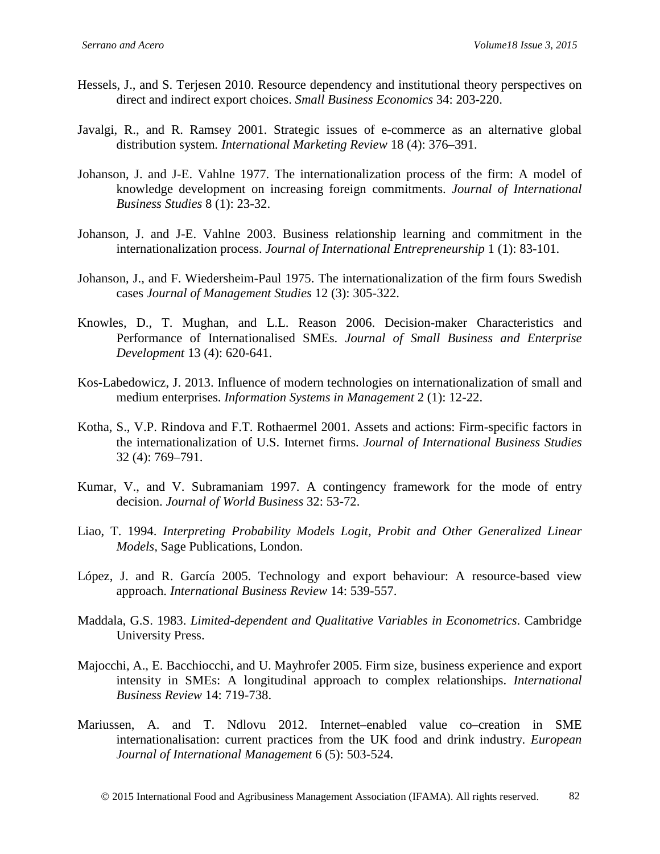- Hessels, J., and S. Terjesen 2010. Resource dependency and institutional theory perspectives on direct and indirect export choices. *Small Business Economics* 34: 203-220.
- Javalgi, R., and R. Ramsey 2001. Strategic issues of e-commerce as an alternative global distribution system*. International Marketing Review* 18 (4): 376–391.
- Johanson, J. and J-E. Vahlne 1977. The internationalization process of the firm: A model of knowledge development on increasing foreign commitments. *Journal of International Business Studies* 8 (1): 23-32.
- Johanson, J. and J-E. Vahlne 2003. Business relationship learning and commitment in the internationalization process. *Journal of International Entrepreneurship* 1 (1): 83-101.
- Johanson, J., and F. Wiedersheim-Paul 1975. The internationalization of the firm fours Swedish cases *Journal of Management Studies* 12 (3): 305-322.
- Knowles, D., T. Mughan, and L.L. Reason 2006. Decision-maker Characteristics and Performance of Internationalised SMEs. *Journal of Small Business and Enterprise Development* 13 (4): 620-641.
- Kos-Labedowicz, J. 2013. Influence of modern technologies on internationalization of small and medium enterprises. *Information Systems in Management* 2 (1): 12-22.
- Kotha, S., V.P. Rindova and F.T. Rothaermel 2001. Assets and actions: Firm-specific factors in the internationalization of U.S. Internet firms. *Journal of International Business Studies* 32 (4): 769–791.
- Kumar, V., and V. Subramaniam 1997. A contingency framework for the mode of entry decision. *Journal of World Business* 32: 53-72.
- Liao, T. 1994. *Interpreting Probability Models Logit, Probit and Other Generalized Linear Models,* Sage Publications, London.
- López, J. and R. García 2005. Technology and export behaviour: A resource-based view approach. *International Business Review* 14: 539-557.
- Maddala, G.S. 1983. *Limited-dependent and Qualitative Variables in Econometrics*. Cambridge University Press.
- Majocchi, A., E. Bacchiocchi, and U. Mayhrofer 2005. Firm size, business experience and export intensity in SMEs: A longitudinal approach to complex relationships. *International Business Review* 14: 719-738.
- Mariussen, A. and T. Ndlovu 2012. Internet–enabled value co–creation in SME internationalisation: current practices from the UK food and drink industry. *European Journal of International Management* 6 (5): 503-524.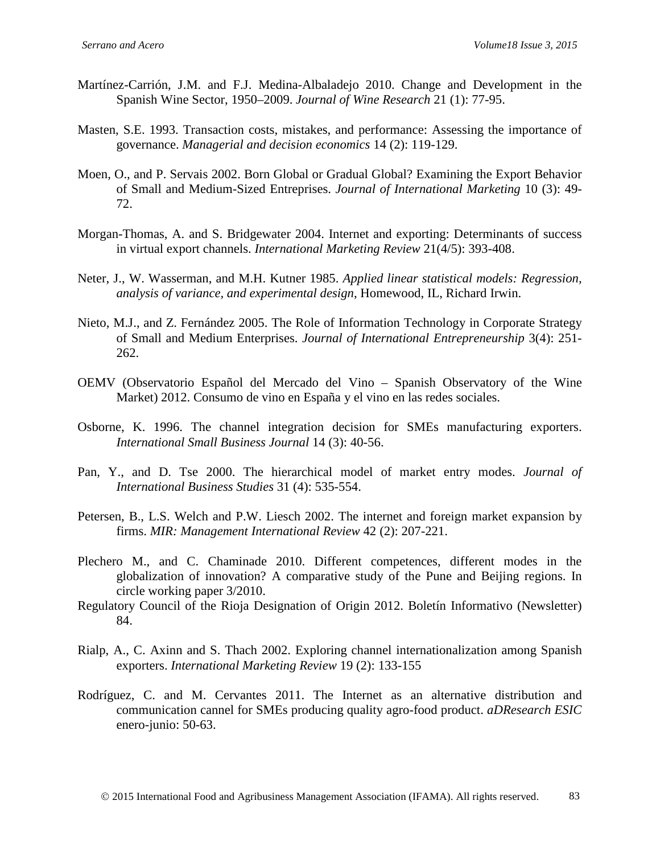- Martínez-Carrión, J.M. and F.J. Medina-Albaladejo 2010. Change and Development in the Spanish Wine Sector, 1950–2009. *Journal of Wine Research* 21 (1): 77-95.
- Masten, S.E. 1993. Transaction costs, mistakes, and performance: Assessing the importance of governance. *Managerial and decision economics* 14 (2): 119-129.
- Moen, O., and P. Servais 2002. Born Global or Gradual Global? Examining the Export Behavior of Small and Medium-Sized Entreprises. *Journal of International Marketing* 10 (3): 49- 72.
- Morgan-Thomas, A. and S. Bridgewater 2004. Internet and exporting: Determinants of success in virtual export channels. *International Marketing Review* 21(4/5): 393-408.
- Neter, J., W. Wasserman, and M.H. Kutner 1985. *Applied linear statistical models: Regression, analysis of variance, and experimental design*, Homewood, IL, Richard Irwin.
- Nieto, M.J., and Z. Fernández 2005. The Role of Information Technology in Corporate Strategy of Small and Medium Enterprises. *Journal of International Entrepreneurship* 3(4): 251- 262.
- OEMV (Observatorio Español del Mercado del Vino Spanish Observatory of the Wine Market) 2012. Consumo de vino en España y el vino en las redes sociales.
- Osborne, K. 1996. The channel integration decision for SMEs manufacturing exporters. *International Small Business Journal* 14 (3): 40-56.
- Pan, Y., and D. Tse 2000. The hierarchical model of market entry modes. *Journal of International Business Studies* 31 (4): 535-554.
- Petersen, B., L.S. Welch and P.W. Liesch 2002. The internet and foreign market expansion by firms. *MIR: Management International Review* 42 (2): 207-221.
- Plechero M., and C. Chaminade 2010. Different competences, different modes in the globalization of innovation? A comparative study of the Pune and Beijing regions. In circle working paper 3/2010.
- Regulatory Council of the Rioja Designation of Origin 2012. Boletín Informativo (Newsletter) 84.
- Rialp, A., C. Axinn and S. Thach 2002. Exploring channel internationalization among Spanish exporters. *International Marketing Review* 19 (2): 133-155
- Rodríguez, C. and M. Cervantes 2011. The Internet as an alternative distribution and communication cannel for SMEs producing quality agro-food product. *aDResearch ESIC* enero-junio: 50-63.